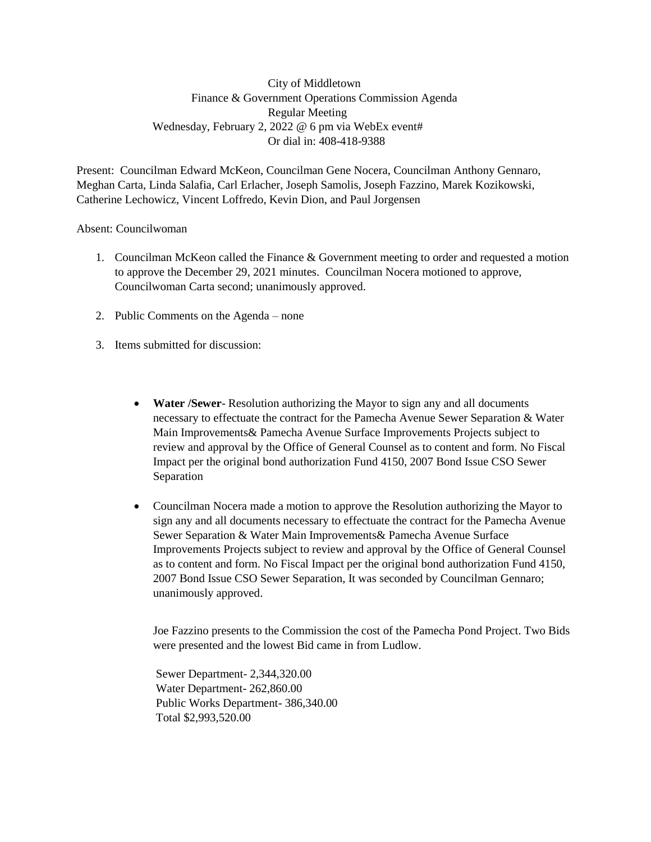City of Middletown Finance & Government Operations Commission Agenda Regular Meeting Wednesday, February 2, 2022 @ 6 pm via WebEx event# Or dial in: 408-418-9388

Present: Councilman Edward McKeon, Councilman Gene Nocera, Councilman Anthony Gennaro, Meghan Carta, Linda Salafia, Carl Erlacher, Joseph Samolis, Joseph Fazzino, Marek Kozikowski, Catherine Lechowicz, Vincent Loffredo, Kevin Dion, and Paul Jorgensen

## Absent: Councilwoman

- 1. Councilman McKeon called the Finance & Government meeting to order and requested a motion to approve the December 29, 2021 minutes. Councilman Nocera motioned to approve, Councilwoman Carta second; unanimously approved.
- 2. Public Comments on the Agenda none
- 3. Items submitted for discussion:
	- **Water /Sewer** Resolution authorizing the Mayor to sign any and all documents necessary to effectuate the contract for the Pamecha Avenue Sewer Separation & Water Main Improvements& Pamecha Avenue Surface Improvements Projects subject to review and approval by the Office of General Counsel as to content and form. No Fiscal Impact per the original bond authorization Fund 4150, 2007 Bond Issue CSO Sewer Separation
	- Councilman Nocera made a motion to approve the Resolution authorizing the Mayor to sign any and all documents necessary to effectuate the contract for the Pamecha Avenue Sewer Separation & Water Main Improvements& Pamecha Avenue Surface Improvements Projects subject to review and approval by the Office of General Counsel as to content and form. No Fiscal Impact per the original bond authorization Fund 4150, 2007 Bond Issue CSO Sewer Separation, It was seconded by Councilman Gennaro; unanimously approved.

Joe Fazzino presents to the Commission the cost of the Pamecha Pond Project. Two Bids were presented and the lowest Bid came in from Ludlow.

Sewer Department- 2,344,320.00 Water Department- 262,860.00 Public Works Department- 386,340.00 Total \$2,993,520.00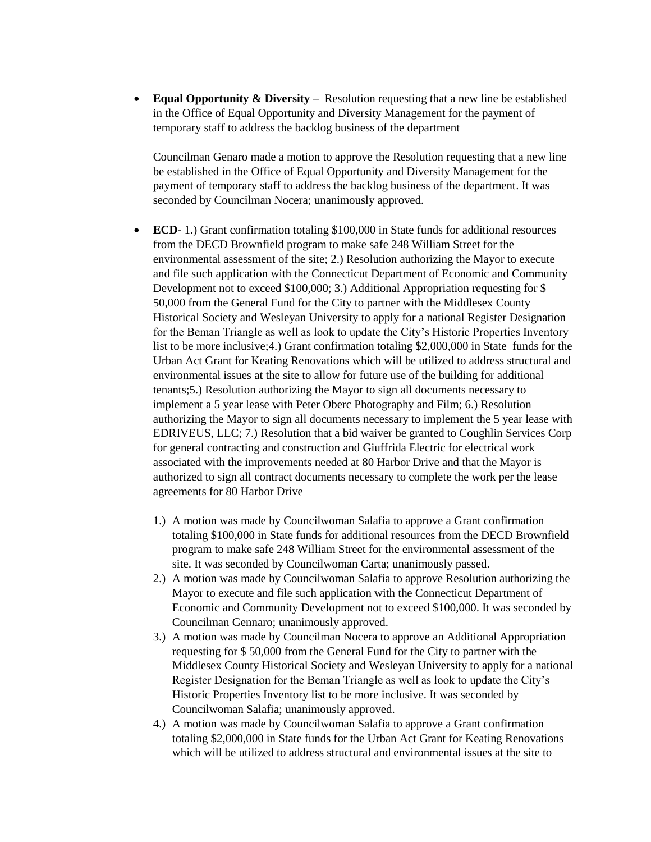**Equal Opportunity & Diversity** – Resolution requesting that a new line be established in the Office of Equal Opportunity and Diversity Management for the payment of temporary staff to address the backlog business of the department

Councilman Genaro made a motion to approve the Resolution requesting that a new line be established in the Office of Equal Opportunity and Diversity Management for the payment of temporary staff to address the backlog business of the department. It was seconded by Councilman Nocera; unanimously approved.

- **ECD** 1.) Grant confirmation totaling \$100,000 in State funds for additional resources from the DECD Brownfield program to make safe 248 William Street for the environmental assessment of the site; 2.) Resolution authorizing the Mayor to execute and file such application with the Connecticut Department of Economic and Community Development not to exceed \$100,000; 3.) Additional Appropriation requesting for \$ 50,000 from the General Fund for the City to partner with the Middlesex County Historical Society and Wesleyan University to apply for a national Register Designation for the Beman Triangle as well as look to update the City's Historic Properties Inventory list to be more inclusive;4.) Grant confirmation totaling \$2,000,000 in State funds for the Urban Act Grant for Keating Renovations which will be utilized to address structural and environmental issues at the site to allow for future use of the building for additional tenants;5.) Resolution authorizing the Mayor to sign all documents necessary to implement a 5 year lease with Peter Oberc Photography and Film; 6.) Resolution authorizing the Mayor to sign all documents necessary to implement the 5 year lease with EDRIVEUS, LLC; 7.) Resolution that a bid waiver be granted to Coughlin Services Corp for general contracting and construction and Giuffrida Electric for electrical work associated with the improvements needed at 80 Harbor Drive and that the Mayor is authorized to sign all contract documents necessary to complete the work per the lease agreements for 80 Harbor Drive
	- 1.) A motion was made by Councilwoman Salafia to approve a Grant confirmation totaling \$100,000 in State funds for additional resources from the DECD Brownfield program to make safe 248 William Street for the environmental assessment of the site. It was seconded by Councilwoman Carta; unanimously passed.
	- 2.) A motion was made by Councilwoman Salafia to approve Resolution authorizing the Mayor to execute and file such application with the Connecticut Department of Economic and Community Development not to exceed \$100,000. It was seconded by Councilman Gennaro; unanimously approved.
	- 3.) A motion was made by Councilman Nocera to approve an Additional Appropriation requesting for \$ 50,000 from the General Fund for the City to partner with the Middlesex County Historical Society and Wesleyan University to apply for a national Register Designation for the Beman Triangle as well as look to update the City's Historic Properties Inventory list to be more inclusive. It was seconded by Councilwoman Salafia; unanimously approved.
	- 4.) A motion was made by Councilwoman Salafia to approve a Grant confirmation totaling \$2,000,000 in State funds for the Urban Act Grant for Keating Renovations which will be utilized to address structural and environmental issues at the site to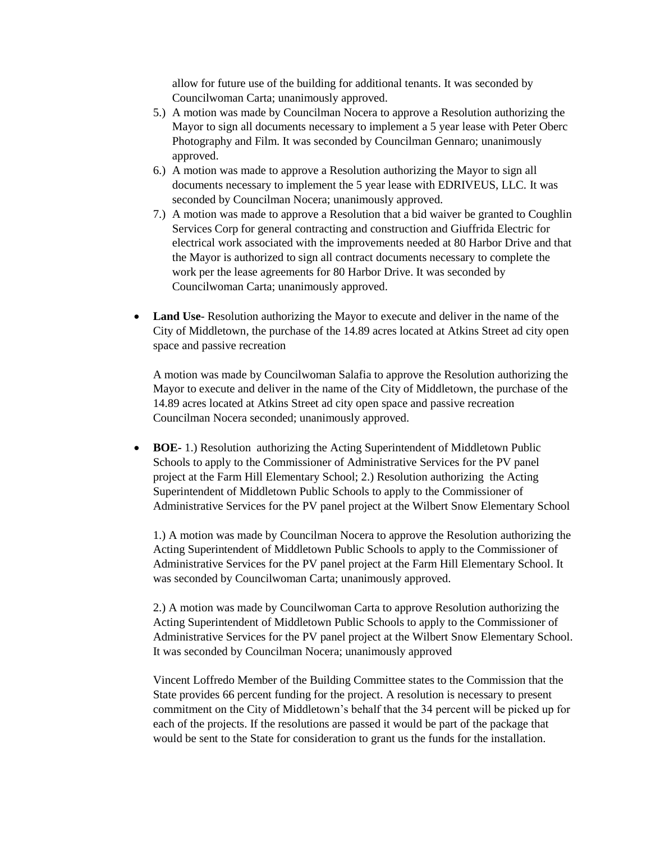allow for future use of the building for additional tenants. It was seconded by Councilwoman Carta; unanimously approved.

- 5.) A motion was made by Councilman Nocera to approve a Resolution authorizing the Mayor to sign all documents necessary to implement a 5 year lease with Peter Oberc Photography and Film. It was seconded by Councilman Gennaro; unanimously approved.
- 6.) A motion was made to approve a Resolution authorizing the Mayor to sign all documents necessary to implement the 5 year lease with EDRIVEUS, LLC. It was seconded by Councilman Nocera; unanimously approved.
- 7.) A motion was made to approve a Resolution that a bid waiver be granted to Coughlin Services Corp for general contracting and construction and Giuffrida Electric for electrical work associated with the improvements needed at 80 Harbor Drive and that the Mayor is authorized to sign all contract documents necessary to complete the work per the lease agreements for 80 Harbor Drive. It was seconded by Councilwoman Carta; unanimously approved.
- **Land Use** Resolution authorizing the Mayor to execute and deliver in the name of the City of Middletown, the purchase of the 14.89 acres located at Atkins Street ad city open space and passive recreation

A motion was made by Councilwoman Salafia to approve the Resolution authorizing the Mayor to execute and deliver in the name of the City of Middletown, the purchase of the 14.89 acres located at Atkins Street ad city open space and passive recreation Councilman Nocera seconded; unanimously approved.

 **BOE-** 1.) Resolution authorizing the Acting Superintendent of Middletown Public Schools to apply to the Commissioner of Administrative Services for the PV panel project at the Farm Hill Elementary School; 2.) Resolution authorizing the Acting Superintendent of Middletown Public Schools to apply to the Commissioner of Administrative Services for the PV panel project at the Wilbert Snow Elementary School

1.) A motion was made by Councilman Nocera to approve the Resolution authorizing the Acting Superintendent of Middletown Public Schools to apply to the Commissioner of Administrative Services for the PV panel project at the Farm Hill Elementary School. It was seconded by Councilwoman Carta; unanimously approved.

2.) A motion was made by Councilwoman Carta to approve Resolution authorizing the Acting Superintendent of Middletown Public Schools to apply to the Commissioner of Administrative Services for the PV panel project at the Wilbert Snow Elementary School. It was seconded by Councilman Nocera; unanimously approved

Vincent Loffredo Member of the Building Committee states to the Commission that the State provides 66 percent funding for the project. A resolution is necessary to present commitment on the City of Middletown's behalf that the 34 percent will be picked up for each of the projects. If the resolutions are passed it would be part of the package that would be sent to the State for consideration to grant us the funds for the installation.